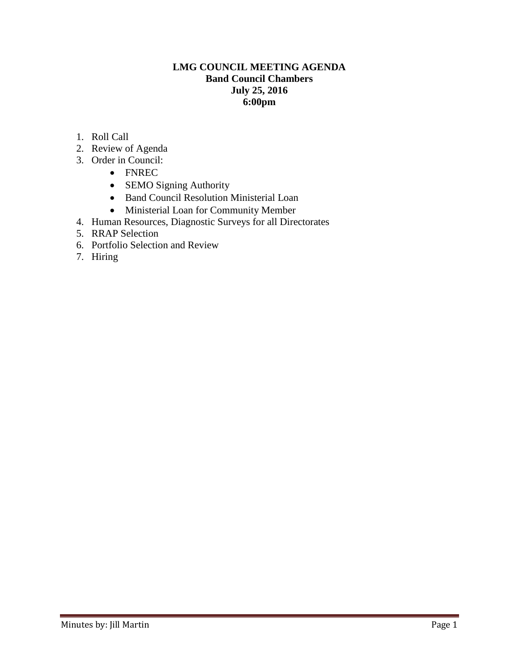# **LMG COUNCIL MEETING AGENDA Band Council Chambers July 25, 2016 6:00pm**

- 1. Roll Call
- 2. Review of Agenda
- 3. Order in Council:
	- FNREC
	- SEMO Signing Authority
	- Band Council Resolution Ministerial Loan
	- Ministerial Loan for Community Member
- 4. Human Resources, Diagnostic Surveys for all Directorates
- 5. RRAP Selection
- 6. Portfolio Selection and Review
- 7. Hiring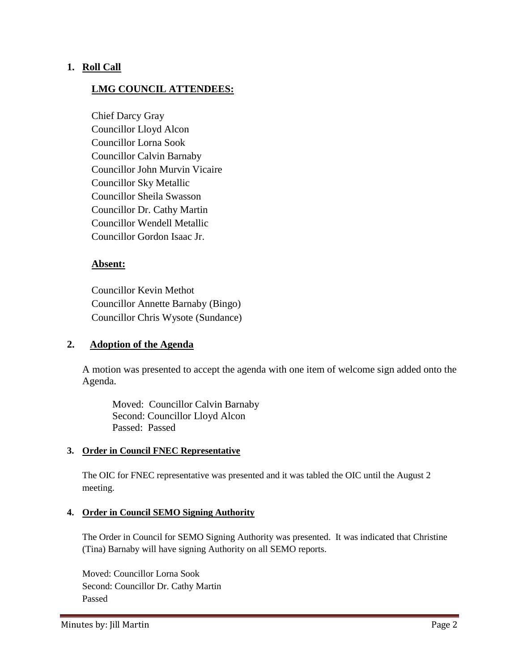# **1. Roll Call**

# **LMG COUNCIL ATTENDEES:**

Chief Darcy Gray Councillor Lloyd Alcon Councillor Lorna Sook Councillor Calvin Barnaby Councillor John Murvin Vicaire Councillor Sky Metallic Councillor Sheila Swasson Councillor Dr. Cathy Martin Councillor Wendell Metallic Councillor Gordon Isaac Jr.

#### **Absent:**

Councillor Kevin Methot Councillor Annette Barnaby (Bingo) Councillor Chris Wysote (Sundance)

## **2. Adoption of the Agenda**

A motion was presented to accept the agenda with one item of welcome sign added onto the Agenda.

Moved: Councillor Calvin Barnaby Second: Councillor Lloyd Alcon Passed: Passed

#### **3. Order in Council FNEC Representative**

The OIC for FNEC representative was presented and it was tabled the OIC until the August 2 meeting.

#### **4. Order in Council SEMO Signing Authority**

The Order in Council for SEMO Signing Authority was presented. It was indicated that Christine (Tina) Barnaby will have signing Authority on all SEMO reports.

Moved: Councillor Lorna Sook Second: Councillor Dr. Cathy Martin Passed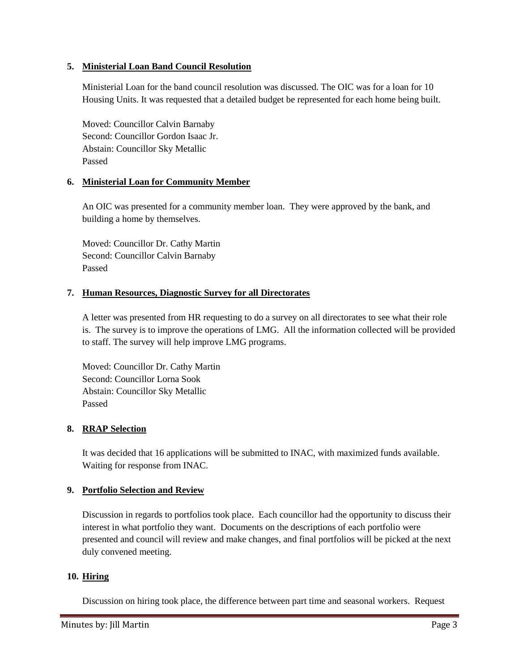## **5. Ministerial Loan Band Council Resolution**

Ministerial Loan for the band council resolution was discussed. The OIC was for a loan for 10 Housing Units. It was requested that a detailed budget be represented for each home being built.

Moved: Councillor Calvin Barnaby Second: Councillor Gordon Isaac Jr. Abstain: Councillor Sky Metallic Passed

## **6. Ministerial Loan for Community Member**

An OIC was presented for a community member loan. They were approved by the bank, and building a home by themselves.

Moved: Councillor Dr. Cathy Martin Second: Councillor Calvin Barnaby Passed

#### **7. Human Resources, Diagnostic Survey for all Directorates**

A letter was presented from HR requesting to do a survey on all directorates to see what their role is. The survey is to improve the operations of LMG. All the information collected will be provided to staff. The survey will help improve LMG programs.

Moved: Councillor Dr. Cathy Martin Second: Councillor Lorna Sook Abstain: Councillor Sky Metallic Passed

## **8. RRAP Selection**

It was decided that 16 applications will be submitted to INAC, with maximized funds available. Waiting for response from INAC.

## **9. Portfolio Selection and Review**

Discussion in regards to portfolios took place. Each councillor had the opportunity to discuss their interest in what portfolio they want. Documents on the descriptions of each portfolio were presented and council will review and make changes, and final portfolios will be picked at the next duly convened meeting.

#### **10. Hiring**

Discussion on hiring took place, the difference between part time and seasonal workers. Request